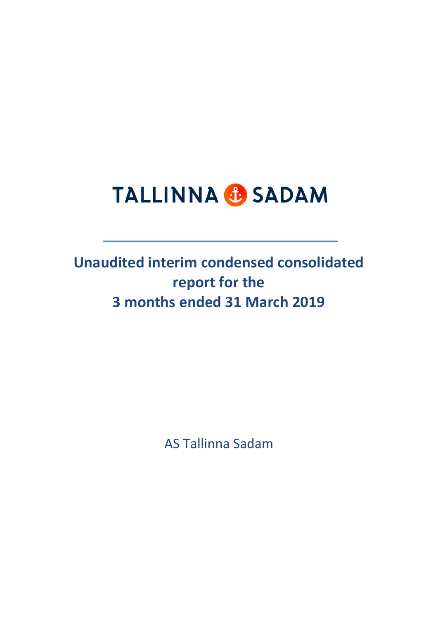# **TALLINNA & SADAM**

**Unaudited interim condensed consolidated report for the 3 months ended 31 March 2019**

AS Tallinna Sadam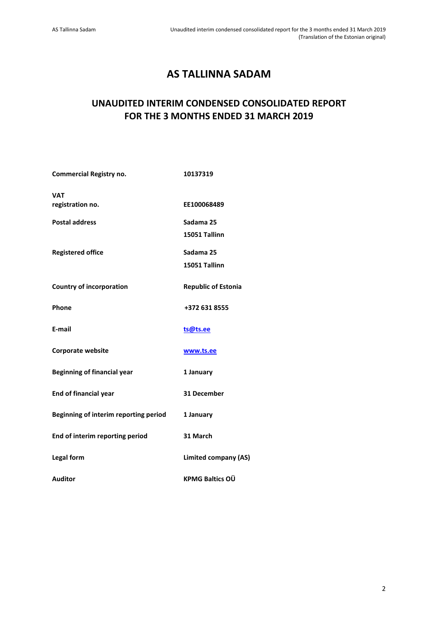# **AS TALLINNA SADAM**

# **UNAUDITED INTERIM CONDENSED CONSOLIDATED REPORT FOR THE 3 MONTHS ENDED 31 MARCH 2019**

| <b>Commercial Registry no.</b>        | 10137319                    |
|---------------------------------------|-----------------------------|
| <b>VAT</b>                            |                             |
| registration no.                      | EE100068489                 |
| <b>Postal address</b>                 | Sadama 25                   |
|                                       | 15051 Tallinn               |
| <b>Registered office</b>              | Sadama 25                   |
|                                       | 15051 Tallinn               |
| <b>Country of incorporation</b>       | <b>Republic of Estonia</b>  |
| Phone                                 | +372 631 8555               |
| E-mail                                | ts@ts.ee                    |
| Corporate website                     | www.ts.ee                   |
| <b>Beginning of financial year</b>    | 1 January                   |
| <b>End of financial year</b>          | 31 December                 |
| Beginning of interim reporting period | 1 January                   |
| End of interim reporting period       | 31 March                    |
| Legal form                            | <b>Limited company (AS)</b> |
| <b>Auditor</b>                        | <b>KPMG Baltics OÜ</b>      |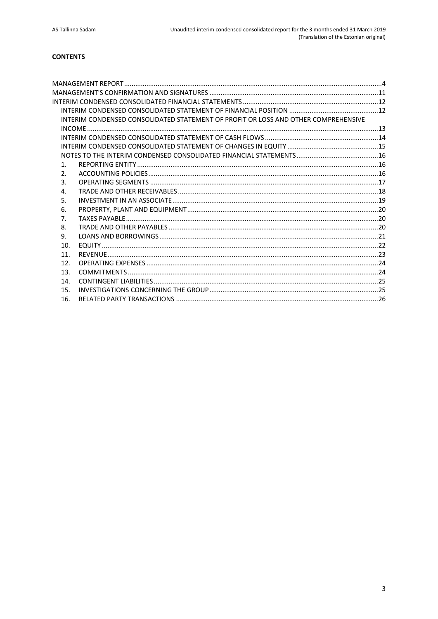# **CONTENTS**

|                  | INTERIM CONDENSED CONSOLIDATED STATEMENT OF PROFIT OR LOSS AND OTHER COMPREHENSIVE |  |
|------------------|------------------------------------------------------------------------------------|--|
|                  |                                                                                    |  |
|                  |                                                                                    |  |
|                  |                                                                                    |  |
|                  |                                                                                    |  |
| $\mathbf{1}$ .   |                                                                                    |  |
| $\mathfrak{D}$ . |                                                                                    |  |
| 3.               |                                                                                    |  |
| 4.               |                                                                                    |  |
| 5.               |                                                                                    |  |
| 6.               |                                                                                    |  |
| 7.               |                                                                                    |  |
| 8.               |                                                                                    |  |
| 9.               |                                                                                    |  |
| 10.              |                                                                                    |  |
| 11.              |                                                                                    |  |
| 12.              |                                                                                    |  |
| 13.              |                                                                                    |  |
| 14.              |                                                                                    |  |
| 15.              |                                                                                    |  |
| 16.              |                                                                                    |  |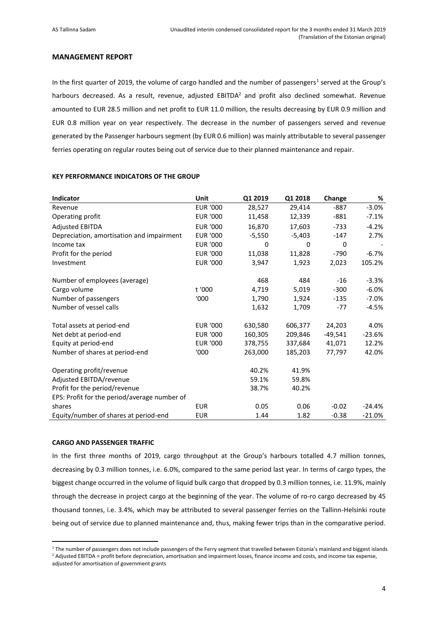# <span id="page-3-0"></span>**MANAGEMENT REPORT**

In the first quarter of 2019, the volume of cargo handled and the number of passengers<sup>1</sup> served at the Group's harbours decreased. As a result, revenue, adjusted EBITDA<sup>2</sup> and profit also declined somewhat. Revenue amounted to EUR 28.5 million and net profit to EUR 11.0 million, the results decreasing by EUR 0.9 million and EUR 0.8 million year on year respectively. The decrease in the number of passengers served and revenue generated by the Passenger harbours segment (by EUR 0.6 million) was mainly attributable to several passenger ferries operating on regular routes being out of service due to their planned maintenance and repair.

| Indicator                                    | Unit            | Q1 2019  | Q1 2018  | Change  | %        |
|----------------------------------------------|-----------------|----------|----------|---------|----------|
| Revenue                                      | <b>EUR '000</b> | 28,527   | 29,414   | $-887$  | $-3.0%$  |
| Operating profit                             | <b>EUR '000</b> | 11,458   | 12,339   | $-881$  | $-7.1%$  |
| <b>Adjusted EBITDA</b>                       | <b>EUR '000</b> | 16,870   | 17,603   | $-733$  | $-4.2%$  |
| Depreciation, amortisation and impairment    | <b>EUR '000</b> | $-5,550$ | $-5,403$ | $-147$  | 2.7%     |
| Income tax                                   | <b>EUR '000</b> | 0        | 0        | 0       |          |
| Profit for the period                        | <b>EUR '000</b> | 11,038   | 11,828   | $-790$  | $-6.7%$  |
| Investment                                   | <b>EUR '000</b> | 3,947    | 1,923    | 2,023   | 105.2%   |
| Number of employees (average)                |                 | 468      | 484      | $-16$   | $-3.3%$  |
| Cargo volume                                 | t '000          | 4,719    | 5,019    | $-300$  | $-6.0%$  |
| Number of passengers                         | '000            | 1,790    | 1,924    | $-135$  | $-7.0%$  |
| Number of vessel calls                       |                 | 1,632    | 1,709    | $-77$   | $-4.5%$  |
| Total assets at period-end                   | <b>EUR '000</b> | 630,580  | 606,377  | 24,203  | 4.0%     |
| Net debt at period-end                       | <b>EUR '000</b> | 160,305  | 209,846  | -49,541 | $-23.6%$ |
| Equity at period-end                         | <b>EUR '000</b> | 378,755  | 337,684  | 41,071  | 12.2%    |
| Number of shares at period-end               | '000            | 263,000  | 185,203  | 77,797  | 42.0%    |
| Operating profit/revenue                     |                 | 40.2%    | 41.9%    |         |          |
| Adjusted EBITDA/revenue                      |                 | 59.1%    | 59.8%    |         |          |
| Profit for the period/revenue                |                 | 38.7%    | 40.2%    |         |          |
| EPS: Profit for the period/average number of |                 |          |          |         |          |
| shares                                       | <b>EUR</b>      | 0.05     | 0.06     | $-0.02$ | $-24.4%$ |
| Equity/number of shares at period-end        | <b>EUR</b>      | 1.44     | 1.82     | $-0.38$ | $-21.0%$ |

#### **KEY PERFORMANCE INDICATORS OF THE GROUP**

#### **CARGO AND PASSENGER TRAFFIC**

In the first three months of 2019, cargo throughput at the Group's harbours totalled 4.7 million tonnes, decreasing by 0.3 million tonnes, i.e. 6.0%, compared to the same period last year. In terms of cargo types, the biggest change occurred in the volume of liquid bulk cargo that dropped by 0.3 million tonnes, i.e. 11.9%, mainly through the decrease in project cargo at the beginning of the year. The volume of ro-ro cargo decreased by 45 thousand tonnes, i.e. 3.4%, which may be attributed to several passenger ferries on the Tallinn-Helsinki route being out of service due to planned maintenance and, thus, making fewer trips than in the comparative period.

 $\overline{a}$ 

<sup>&</sup>lt;sup>1</sup> The number of passengers does not include passengers of the Ferry segment that travelled between Estonia's mainland and biggest islands <sup>2</sup> Adjusted EBITDA = profit before depreciation, amortisation and impairment losses, finance income and costs, and income tax expense,

adjusted for amortisation of government grants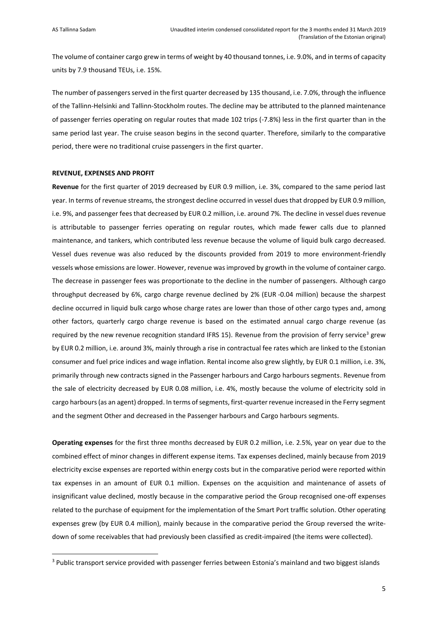$\overline{a}$ 

The volume of container cargo grew in terms of weight by 40 thousand tonnes, i.e. 9.0%, and in terms of capacity units by 7.9 thousand TEUs, i.e. 15%.

The number of passengers served in the first quarter decreased by 135 thousand, i.e. 7.0%, through the influence of the Tallinn-Helsinki and Tallinn-Stockholm routes. The decline may be attributed to the planned maintenance of passenger ferries operating on regular routes that made 102 trips (-7.8%) less in the first quarter than in the same period last year. The cruise season begins in the second quarter. Therefore, similarly to the comparative period, there were no traditional cruise passengers in the first quarter.

#### **REVENUE, EXPENSES AND PROFIT**

**Revenue** for the first quarter of 2019 decreased by EUR 0.9 million, i.e. 3%, compared to the same period last year. In terms of revenue streams, the strongest decline occurred in vessel dues that dropped by EUR 0.9 million, i.e. 9%, and passenger fees that decreased by EUR 0.2 million, i.e. around 7%. The decline in vessel dues revenue is attributable to passenger ferries operating on regular routes, which made fewer calls due to planned maintenance, and tankers, which contributed less revenue because the volume of liquid bulk cargo decreased. Vessel dues revenue was also reduced by the discounts provided from 2019 to more environment-friendly vessels whose emissions are lower. However, revenue was improved by growth in the volume of container cargo. The decrease in passenger fees was proportionate to the decline in the number of passengers. Although cargo throughput decreased by 6%, cargo charge revenue declined by 2% (EUR -0.04 million) because the sharpest decline occurred in liquid bulk cargo whose charge rates are lower than those of other cargo types and, among other factors, quarterly cargo charge revenue is based on the estimated annual cargo charge revenue (as required by the new revenue recognition standard IFRS 15). Revenue from the provision of ferry service<sup>3</sup> grew by EUR 0.2 million, i.e. around 3%, mainly through a rise in contractual fee rates which are linked to the Estonian consumer and fuel price indices and wage inflation. Rental income also grew slightly, by EUR 0.1 million, i.e. 3%, primarily through new contracts signed in the Passenger harbours and Cargo harbours segments. Revenue from the sale of electricity decreased by EUR 0.08 million, i.e. 4%, mostly because the volume of electricity sold in cargo harbours (as an agent) dropped. In terms of segments, first-quarter revenue increased in the Ferry segment and the segment Other and decreased in the Passenger harbours and Cargo harbours segments.

**Operating expenses** for the first three months decreased by EUR 0.2 million, i.e. 2.5%, year on year due to the combined effect of minor changes in different expense items. Tax expenses declined, mainly because from 2019 electricity excise expenses are reported within energy costs but in the comparative period were reported within tax expenses in an amount of EUR 0.1 million. Expenses on the acquisition and maintenance of assets of insignificant value declined, mostly because in the comparative period the Group recognised one-off expenses related to the purchase of equipment for the implementation of the Smart Port traffic solution. Other operating expenses grew (by EUR 0.4 million), mainly because in the comparative period the Group reversed the writedown of some receivables that had previously been classified as credit-impaired (the items were collected).

<sup>3</sup> Public transport service provided with passenger ferries between Estonia's mainland and two biggest islands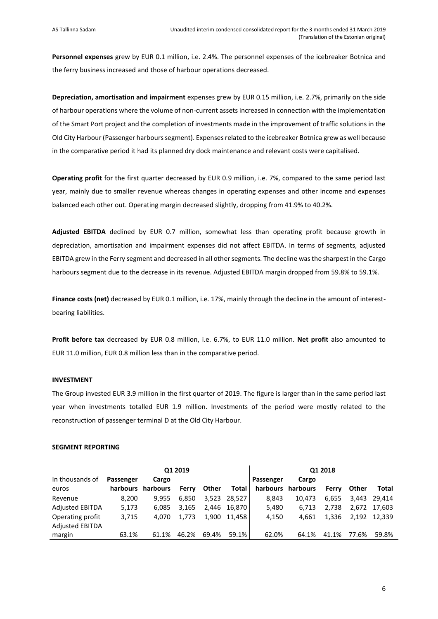**Personnel expenses** grew by EUR 0.1 million, i.e. 2.4%. The personnel expenses of the icebreaker Botnica and the ferry business increased and those of harbour operations decreased.

**Depreciation, amortisation and impairment** expenses grew by EUR 0.15 million, i.e. 2.7%, primarily on the side of harbour operations where the volume of non-current assets increased in connection with the implementation of the Smart Port project and the completion of investments made in the improvement of traffic solutions in the Old City Harbour (Passenger harbours segment). Expenses related to the icebreaker Botnica grew as well because in the comparative period it had its planned dry dock maintenance and relevant costs were capitalised.

**Operating profit** for the first quarter decreased by EUR 0.9 million, i.e. 7%, compared to the same period last year, mainly due to smaller revenue whereas changes in operating expenses and other income and expenses balanced each other out. Operating margin decreased slightly, dropping from 41.9% to 40.2%.

**Adjusted EBITDA** declined by EUR 0.7 million, somewhat less than operating profit because growth in depreciation, amortisation and impairment expenses did not affect EBITDA. In terms of segments, adjusted EBITDA grew in the Ferry segment and decreased in all other segments. The decline was the sharpest in the Cargo harbours segment due to the decrease in its revenue. Adjusted EBITDA margin dropped from 59.8% to 59.1%.

**Finance costs (net)** decreased by EUR 0.1 million, i.e. 17%, mainly through the decline in the amount of interestbearing liabilities.

**Profit before tax** decreased by EUR 0.8 million, i.e. 6.7%, to EUR 11.0 million. **Net profit** also amounted to EUR 11.0 million, EUR 0.8 million less than in the comparative period.

# **INVESTMENT**

The Group invested EUR 3.9 million in the first quarter of 2019. The figure is larger than in the same period last year when investments totalled EUR 1.9 million. Investments of the period were mostly related to the reconstruction of passenger terminal D at the Old City Harbour.

#### **SEGMENT REPORTING**

| Q1 2019                |           |          |       | Q1 2018 |              |           |          |       |       |              |
|------------------------|-----------|----------|-------|---------|--------------|-----------|----------|-------|-------|--------------|
| In thousands of        | Passenger | Cargo    |       |         |              | Passenger | Cargo    |       |       |              |
| euros                  | harbours  | harbours | Ferry | Other   | Total        | harbours  | harbours | Ferry | Other | Total        |
| Revenue                | 8,200     | 9.955    | 6,850 |         | 3.523 28.527 | 8.843     | 10.473   | 6.655 |       | 3.443 29.414 |
| <b>Adjusted EBITDA</b> | 5,173     | 6.085    | 3.165 | 2.446   | 16.870 l     | 5,480     | 6.713    | 2.738 |       | 2.672 17.603 |
| Operating profit       | 3,715     | 4.070    | 1.773 | 1.900   | 11.458       | 4,150     | 4.661    | 1,336 |       | 2.192 12.339 |
| <b>Adjusted EBITDA</b> |           |          |       |         |              |           |          |       |       |              |
| margin                 | 63.1%     | 61.1%    | 46.2% | 69.4%   | 59.1%        | 62.0%     | 64.1%    | 41.1% | 77.6% | 59.8%        |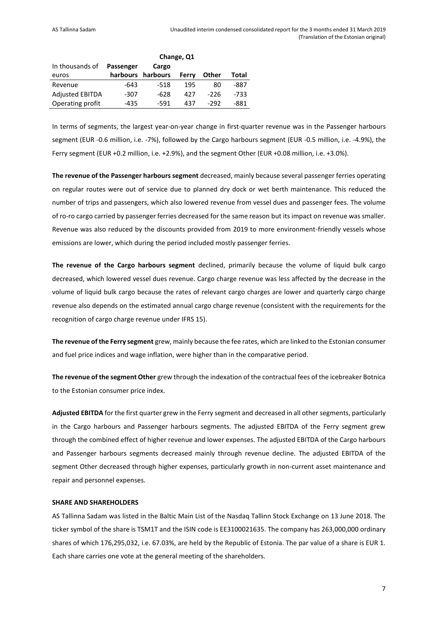|                        | Change, Q1 |                   |       |       |       |  |
|------------------------|------------|-------------------|-------|-------|-------|--|
| In thousands of        | Passenger  | Cargo             |       |       |       |  |
| euros                  |            | harbours harbours | Ferry | Other | Total |  |
| Revenue                | -643       | $-518$            | 195   | 80    | -887  |  |
| <b>Adjusted EBITDA</b> | -307       | -628              | 427   | -226  | -733  |  |
| Operating profit       | -435       | -591              | 437   | -292  | -881  |  |

In terms of segments, the largest year-on-year change in first-quarter revenue was in the Passenger harbours segment (EUR -0.6 million, i.e. -7%), followed by the Cargo harbours segment (EUR -0.5 million, i.e. -4.9%), the Ferry segment (EUR +0.2 million, i.e. +2.9%), and the segment Other (EUR +0.08 million, i.e. +3.0%).

**The revenue of the Passenger harbours segment** decreased, mainly because several passenger ferries operating on regular routes were out of service due to planned dry dock or wet berth maintenance. This reduced the number of trips and passengers, which also lowered revenue from vessel dues and passenger fees. The volume of ro-ro cargo carried by passenger ferries decreased for the same reason but its impact on revenue was smaller. Revenue was also reduced by the discounts provided from 2019 to more environment-friendly vessels whose emissions are lower, which during the period included mostly passenger ferries.

**The revenue of the Cargo harbours segment** declined, primarily because the volume of liquid bulk cargo decreased, which lowered vessel dues revenue. Cargo charge revenue was less affected by the decrease in the volume of liquid bulk cargo because the rates of relevant cargo charges are lower and quarterly cargo charge revenue also depends on the estimated annual cargo charge revenue (consistent with the requirements for the recognition of cargo charge revenue under IFRS 15).

**The revenue of the Ferry segment** grew, mainly because the fee rates, which are linked to the Estonian consumer and fuel price indices and wage inflation, were higher than in the comparative period.

**The revenue of the segment Other** grew through the indexation of the contractual fees of the icebreaker Botnica to the Estonian consumer price index.

**Adjusted EBITDA** for the first quarter grew in the Ferry segment and decreased in all other segments, particularly in the Cargo harbours and Passenger harbours segments. The adjusted EBITDA of the Ferry segment grew through the combined effect of higher revenue and lower expenses. The adjusted EBITDA of the Cargo harbours and Passenger harbours segments decreased mainly through revenue decline. The adjusted EBITDA of the segment Other decreased through higher expenses, particularly growth in non-current asset maintenance and repair and personnel expenses.

# **SHARE AND SHAREHOLDERS**

AS Tallinna Sadam was listed in the Baltic Main List of the Nasdaq Tallinn Stock Exchange on 13 June 2018. The ticker symbol of the share is TSM1T and the ISIN code is EE3100021635. The company has 263,000,000 ordinary shares of which 176,295,032, i.e. 67.03%, are held by the Republic of Estonia. The par value of a share is EUR 1. Each share carries one vote at the general meeting of the shareholders.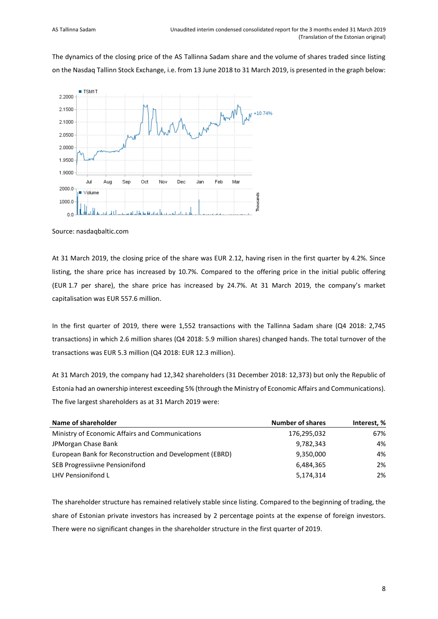The dynamics of the closing price of the AS Tallinna Sadam share and the volume of shares traded since listing on the Nasdaq Tallinn Stock Exchange, i.e. from 13 June 2018 to 31 March 2019, is presented in the graph below:



Source: nasdaqbaltic.com

At 31 March 2019, the closing price of the share was EUR 2.12, having risen in the first quarter by 4.2%. Since listing, the share price has increased by 10.7%. Compared to the offering price in the initial public offering (EUR 1.7 per share), the share price has increased by 24.7%. At 31 March 2019, the company's market capitalisation was EUR 557.6 million.

In the first quarter of 2019, there were 1,552 transactions with the Tallinna Sadam share (Q4 2018: 2,745 transactions) in which 2.6 million shares (Q4 2018: 5.9 million shares) changed hands. The total turnover of the transactions was EUR 5.3 million (Q4 2018: EUR 12.3 million).

At 31 March 2019, the company had 12,342 shareholders (31 December 2018: 12,373) but only the Republic of Estonia had an ownership interest exceeding 5% (through the Ministry of Economic Affairs and Communications). The five largest shareholders as at 31 March 2019 were:

| Name of shareholder                                     | <b>Number of shares</b> | Interest, % |
|---------------------------------------------------------|-------------------------|-------------|
| Ministry of Economic Affairs and Communications         | 176,295,032             | 67%         |
| JPMorgan Chase Bank                                     | 9,782,343               | 4%          |
| European Bank for Reconstruction and Development (EBRD) | 9,350,000               | 4%          |
| SEB Progressiivne Pensionifond                          | 6,484,365               | 2%          |
| LHV Pensionifond L                                      | 5,174,314               | 2%          |

The shareholder structure has remained relatively stable since listing. Compared to the beginning of trading, the share of Estonian private investors has increased by 2 percentage points at the expense of foreign investors. There were no significant changes in the shareholder structure in the first quarter of 2019.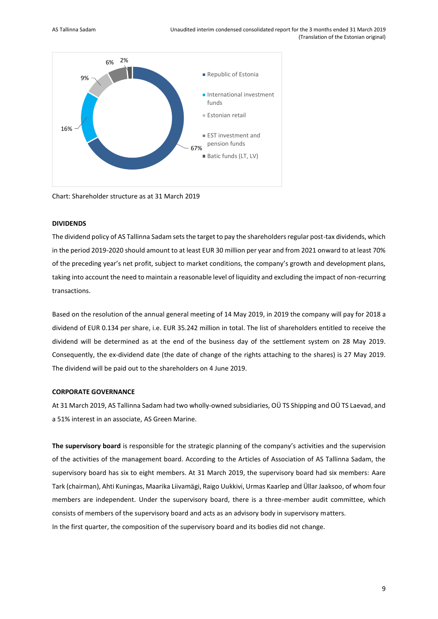

Chart: Shareholder structure as at 31 March 2019

#### **DIVIDENDS**

The dividend policy of AS Tallinna Sadam sets the target to pay the shareholders regular post-tax dividends, which in the period 2019-2020 should amount to at least EUR 30 million per year and from 2021 onward to at least 70% of the preceding year's net profit, subject to market conditions, the company's growth and development plans, taking into account the need to maintain a reasonable level of liquidity and excluding the impact of non-recurring transactions.

Based on the resolution of the annual general meeting of 14 May 2019, in 2019 the company will pay for 2018 a dividend of EUR 0.134 per share, i.e. EUR 35.242 million in total. The list of shareholders entitled to receive the dividend will be determined as at the end of the business day of the settlement system on 28 May 2019. Consequently, the ex-dividend date (the date of change of the rights attaching to the shares) is 27 May 2019. The dividend will be paid out to the shareholders on 4 June 2019.

## **CORPORATE GOVERNANCE**

At 31 March 2019, AS Tallinna Sadam had two wholly-owned subsidiaries, OÜ TS Shipping and OÜ TS Laevad, and a 51% interest in an associate, AS Green Marine.

**The supervisory board** is responsible for the strategic planning of the company's activities and the supervision of the activities of the management board. According to the Articles of Association of AS Tallinna Sadam, the supervisory board has six to eight members. At 31 March 2019, the supervisory board had six members: Aare Tark (chairman), Ahti Kuningas, Maarika Liivamägi, Raigo Uukkivi, Urmas Kaarlep and Üllar Jaaksoo, of whom four members are independent. Under the supervisory board, there is a three-member audit committee, which consists of members of the supervisory board and acts as an advisory body in supervisory matters. In the first quarter, the composition of the supervisory board and its bodies did not change.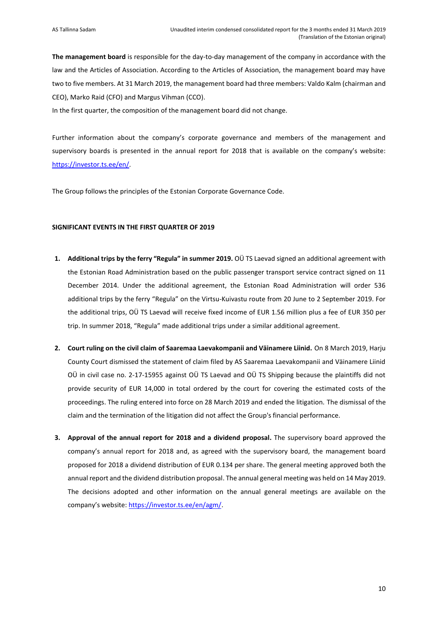**The management board** is responsible for the day-to-day management of the company in accordance with the law and the Articles of Association. According to the Articles of Association, the management board may have two to five members. At 31 March 2019, the management board had three members: Valdo Kalm (chairman and CEO), Marko Raid (CFO) and Margus Vihman (CCO).

In the first quarter, the composition of the management board did not change.

Further information about the company's corporate governance and members of the management and supervisory boards is presented in the annual report for 2018 that is available on the company's website: [https://investor.ts.ee/en/.](https://investor.ts.ee/en/)

The Group follows the principles of the Estonian Corporate Governance Code.

#### **SIGNIFICANT EVENTS IN THE FIRST QUARTER OF 2019**

- **1. Additional trips by the ferry "Regula" in summer 2019.** OÜ TS Laevad signed an additional agreement with the Estonian Road Administration based on the public passenger transport service contract signed on 11 December 2014. Under the additional agreement, the Estonian Road Administration will order 536 additional trips by the ferry "Regula" on the Virtsu-Kuivastu route from 20 June to 2 September 2019. For the additional trips, OÜ TS Laevad will receive fixed income of EUR 1.56 million plus a fee of EUR 350 per trip. In summer 2018, "Regula" made additional trips under a similar additional agreement.
- **2. Court ruling on the civil claim of Saaremaa Laevakompanii and Väinamere Liinid.** On 8 March 2019, Harju County Court dismissed the statement of claim filed by AS Saaremaa Laevakompanii and Väinamere Liinid OÜ in civil case no. 2-17-15955 against OÜ TS Laevad and OÜ TS Shipping because the plaintiffs did not provide security of EUR 14,000 in total ordered by the court for covering the estimated costs of the proceedings. The ruling entered into force on 28 March 2019 and ended the litigation. The dismissal of the claim and the termination of the litigation did not affect the Group's financial performance.
- **3. Approval of the annual report for 2018 and a dividend proposal.** The supervisory board approved the company's annual report for 2018 and, as agreed with the supervisory board, the management board proposed for 2018 a dividend distribution of EUR 0.134 per share. The general meeting approved both the annual report and the dividend distribution proposal. The annual general meeting was held on 14 May 2019. The decisions adopted and other information on the annual general meetings are available on the company's website: [https://investor.ts.ee/en/agm/.](https://investor.ts.ee/en/agm/)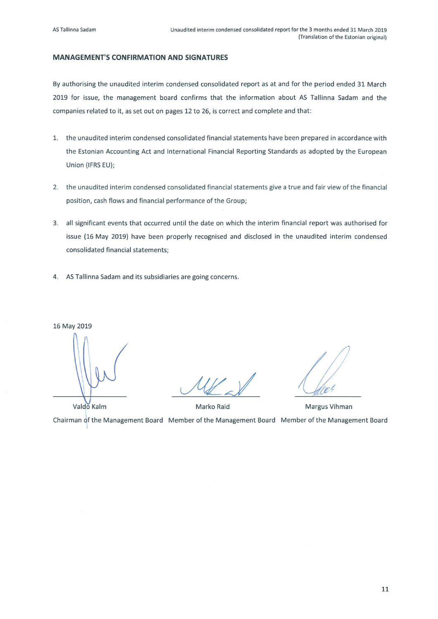# **MANAGEMENT'S CONFIRMATION AND SIGNATURES**

By authorising the unaudited interim condensed consolidated report as at and for the period ended 31 March 2019 for issue, the management board confirms that the information about AS Tallinna Sadam and the companies related to it, as set out on pages 12 to 26, is correct and complete and that:

- 1. the unaudited interim condensed consolidated financial statements have been prepared in accordance with the Estonian Accounting Act and International Financial Reporting Standards as adopted by the European Union (IFRS EU);
- 2. the unaudited interim condensed consolidated financial statements give a true and fair view of the financial position, cash flows and financial performance of the Group;
- 3. all significant events that occurred until the date on which the interim financial report was authorised for issue (16 May 2019) have been properly recognised and disclosed in the unaudited interim condensed consolidated financial statements;
- 4. AS Tallinna Sadam and its subsidiaries are going concerns.

16 May 2019

Valdo Kalm Marko Raid Margus Vihman Chairman of the Management Board Member of the Management Board Member of the Management Board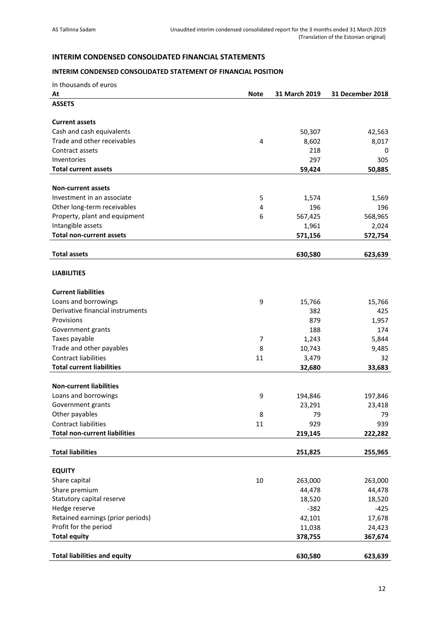# <span id="page-11-0"></span>**INTERIM CONDENSED CONSOLIDATED FINANCIAL STATEMENTS**

# <span id="page-11-1"></span>**INTERIM CONDENSED CONSOLIDATED STATEMENT OF FINANCIAL POSITION**

| In thousands of euros |  |
|-----------------------|--|
|-----------------------|--|

| At                                   | <b>Note</b>    | 31 March 2019 | 31 December 2018 |
|--------------------------------------|----------------|---------------|------------------|
| <b>ASSETS</b>                        |                |               |                  |
|                                      |                |               |                  |
| <b>Current assets</b>                |                |               |                  |
| Cash and cash equivalents            |                | 50,307        | 42,563           |
| Trade and other receivables          | 4              | 8,602         | 8,017            |
| Contract assets                      |                | 218           | 0                |
| Inventories                          |                | 297           | 305              |
| <b>Total current assets</b>          |                | 59,424        | 50,885           |
|                                      |                |               |                  |
| <b>Non-current assets</b>            |                |               |                  |
| Investment in an associate           | 5              | 1,574         | 1,569            |
| Other long-term receivables          | 4              | 196           | 196              |
| Property, plant and equipment        | 6              | 567,425       | 568,965          |
| Intangible assets                    |                | 1,961         | 2,024            |
| <b>Total non-current assets</b>      |                | 571,156       | 572,754          |
|                                      |                |               |                  |
| <b>Total assets</b>                  |                | 630,580       | 623,639          |
|                                      |                |               |                  |
| <b>LIABILITIES</b>                   |                |               |                  |
|                                      |                |               |                  |
| <b>Current liabilities</b>           |                |               |                  |
| Loans and borrowings                 | 9              | 15,766        | 15,766           |
| Derivative financial instruments     |                | 382           | 425              |
| Provisions                           |                | 879           | 1,957            |
| Government grants                    |                | 188           | 174              |
| Taxes payable                        | $\overline{7}$ | 1,243         | 5,844            |
| Trade and other payables             | 8              | 10,743        | 9,485            |
| <b>Contract liabilities</b>          | 11             | 3,479         | 32               |
| <b>Total current liabilities</b>     |                | 32,680        | 33,683           |
|                                      |                |               |                  |
| <b>Non-current liabilities</b>       |                |               |                  |
| Loans and borrowings                 | 9              | 194,846       | 197,846          |
| Government grants                    |                | 23,291        | 23,418           |
| Other payables                       | 8              | 79            | 79               |
| Contract liabilities                 | 11             | 929           | 939              |
| <b>Total non-current liabilities</b> |                | 219,145       | 222,282          |
|                                      |                |               |                  |
| <b>Total liabilities</b>             |                | 251,825       | 255,965          |
|                                      |                |               |                  |
| <b>EQUITY</b>                        |                |               |                  |
| Share capital                        | 10             | 263,000       | 263,000          |
| Share premium                        |                | 44,478        | 44,478           |
| Statutory capital reserve            |                | 18,520        | 18,520           |
| Hedge reserve                        |                | $-382$        | $-425$           |
| Retained earnings (prior periods)    |                | 42,101        | 17,678           |
| Profit for the period                |                | 11,038        | 24,423           |
| <b>Total equity</b>                  |                | 378,755       | 367,674          |
|                                      |                |               |                  |
| <b>Total liabilities and equity</b>  |                | 630,580       | 623,639          |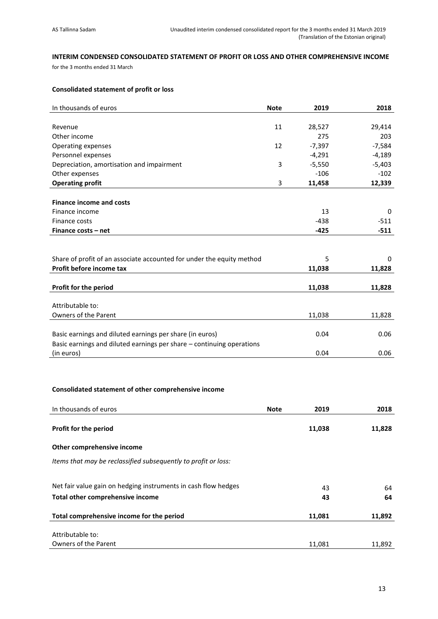# <span id="page-12-0"></span>**INTERIM CONDENSED CONSOLIDATED STATEMENT OF PROFIT OR LOSS AND OTHER COMPREHENSIVE INCOME**

for the 3 months ended 31 March

# **Consolidated statement of profit or loss**

| In thousands of euros                                                 | <b>Note</b> | 2019     | 2018     |
|-----------------------------------------------------------------------|-------------|----------|----------|
|                                                                       |             |          |          |
| Revenue                                                               | 11          | 28,527   | 29,414   |
| Other income                                                          |             | 275      | 203      |
| Operating expenses                                                    | 12          | $-7,397$ | $-7,584$ |
| Personnel expenses                                                    |             | $-4,291$ | $-4,189$ |
| Depreciation, amortisation and impairment                             | 3           | $-5,550$ | $-5,403$ |
| Other expenses                                                        |             | $-106$   | $-102$   |
| <b>Operating profit</b>                                               | 3           | 11,458   | 12,339   |
|                                                                       |             |          |          |
| <b>Finance income and costs</b>                                       |             |          |          |
| Finance income                                                        |             | 13       | 0        |
| Finance costs                                                         |             | $-438$   | $-511$   |
| Finance costs - net                                                   |             | $-425$   | $-511$   |
|                                                                       |             |          |          |
|                                                                       |             |          |          |
| Share of profit of an associate accounted for under the equity method |             | 5        | 0        |
| Profit before income tax                                              |             | 11,038   | 11,828   |
|                                                                       |             |          |          |
| Profit for the period                                                 |             | 11,038   | 11,828   |
|                                                                       |             |          |          |
| Attributable to:                                                      |             |          |          |
| Owners of the Parent                                                  |             | 11,038   | 11,828   |
|                                                                       |             |          |          |
| Basic earnings and diluted earnings per share (in euros)              |             | 0.04     | 0.06     |
| Basic earnings and diluted earnings per share - continuing operations |             |          |          |
| (in euros)                                                            |             | 0.04     | 0.06     |

# **Consolidated statement of other comprehensive income**

| In thousands of euros                                          | <b>Note</b> | 2019   | 2018   |
|----------------------------------------------------------------|-------------|--------|--------|
| <b>Profit for the period</b>                                   |             | 11,038 | 11,828 |
| Other comprehensive income                                     |             |        |        |
| Items that may be reclassified subsequently to profit or loss: |             |        |        |
| Net fair value gain on hedging instruments in cash flow hedges |             | 43     | 64     |
| Total other comprehensive income                               |             | 43     | 64     |
| Total comprehensive income for the period                      |             | 11,081 | 11,892 |
| Attributable to:                                               |             |        |        |
| Owners of the Parent                                           |             | 11,081 | 11,892 |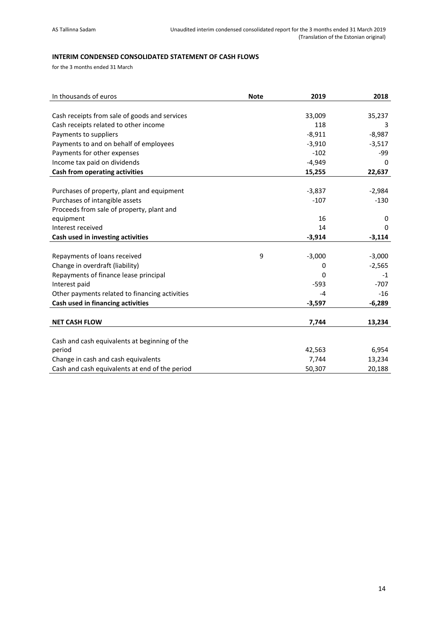# <span id="page-13-0"></span>**INTERIM CONDENSED CONSOLIDATED STATEMENT OF CASH FLOWS**

for the 3 months ended 31 March

| In thousands of euros                          | <b>Note</b> | 2019     | 2018     |
|------------------------------------------------|-------------|----------|----------|
|                                                |             |          |          |
| Cash receipts from sale of goods and services  |             | 33,009   | 35,237   |
| Cash receipts related to other income          |             | 118      |          |
| Payments to suppliers                          |             | $-8,911$ | $-8,987$ |
| Payments to and on behalf of employees         |             | $-3,910$ | $-3,517$ |
| Payments for other expenses                    |             | $-102$   | -99      |
| Income tax paid on dividends                   |             | $-4,949$ | 0        |
| Cash from operating activities                 |             | 15,255   | 22,637   |
|                                                |             |          |          |
| Purchases of property, plant and equipment     |             | $-3,837$ | $-2,984$ |
| Purchases of intangible assets                 |             | $-107$   | $-130$   |
| Proceeds from sale of property, plant and      |             |          |          |
| equipment                                      |             | 16       | 0        |
| Interest received                              |             | 14       | 0        |
| Cash used in investing activities              |             | $-3,914$ | $-3,114$ |
|                                                |             |          |          |
| Repayments of loans received                   | 9           | $-3,000$ | $-3,000$ |
| Change in overdraft (liability)                |             | 0        | $-2,565$ |
| Repayments of finance lease principal          |             | $\Omega$ | $-1$     |
| Interest paid                                  |             | $-593$   | $-707$   |
| Other payments related to financing activities |             | $-4$     | $-16$    |
| Cash used in financing activities              |             | $-3,597$ | $-6,289$ |
|                                                |             |          |          |
| <b>NET CASH FLOW</b>                           |             | 7,744    | 13,234   |
|                                                |             |          |          |
| Cash and cash equivalents at beginning of the  |             |          |          |
| period                                         |             | 42,563   | 6,954    |
| Change in cash and cash equivalents            |             | 7,744    | 13,234   |
| Cash and cash equivalents at end of the period |             | 50,307   | 20,188   |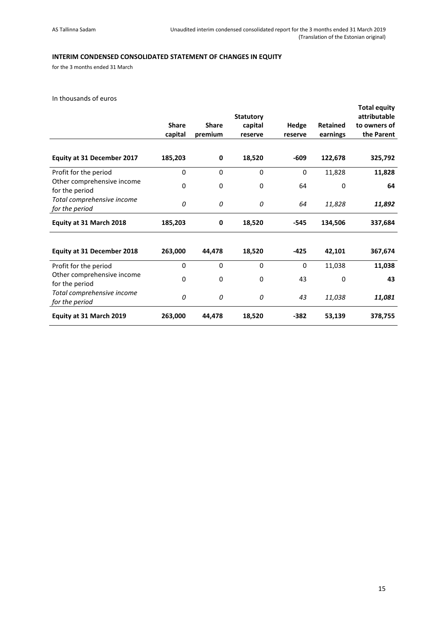# <span id="page-14-0"></span>**INTERIM CONDENSED CONSOLIDATED STATEMENT OF CHANGES IN EQUITY**

for the 3 months ended 31 March

In thousands of euros

|                                              | <b>Share</b><br>capital | <b>Share</b><br>premium | <b>Statutory</b><br>capital<br>reserve | Hedge<br>reserve | <b>Retained</b><br>earnings | <b>Total equity</b><br>attributable<br>to owners of<br>the Parent |
|----------------------------------------------|-------------------------|-------------------------|----------------------------------------|------------------|-----------------------------|-------------------------------------------------------------------|
| <b>Equity at 31 December 2017</b>            | 185,203                 | 0                       | 18,520                                 | $-609$           | 122,678                     | 325,792                                                           |
| Profit for the period                        | $\mathbf 0$             | 0                       | 0                                      | 0                | 11,828                      | 11,828                                                            |
| Other comprehensive income<br>for the period | $\mathbf 0$             | 0                       | $\mathbf 0$                            | 64               | 0                           | 64                                                                |
| Total comprehensive income<br>for the period | 0                       | 0                       | 0                                      | 64               | 11,828                      | 11,892                                                            |
| Equity at 31 March 2018                      | 185,203                 | 0                       | 18,520                                 | $-545$           | 134,506                     | 337,684                                                           |
| <b>Equity at 31 December 2018</b>            | 263,000                 | 44,478                  | 18,520                                 | $-425$           | 42,101                      | 367,674                                                           |
| Profit for the period                        | $\mathbf 0$             | $\mathbf 0$             | 0                                      | 0                | 11,038                      | 11,038                                                            |
| Other comprehensive income<br>for the period | 0                       | 0                       | 0                                      | 43               | 0                           | 43                                                                |
| Total comprehensive income<br>for the period | 0                       | 0                       | 0                                      | 43               | 11,038                      | 11,081                                                            |
| Equity at 31 March 2019                      | 263,000                 | 44,478                  | 18,520                                 | $-382$           | 53,139                      | 378,755                                                           |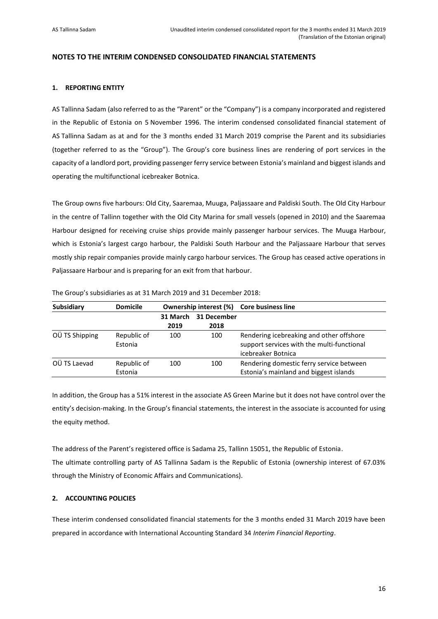# <span id="page-15-0"></span>**NOTES TO THE INTERIM CONDENSED CONSOLIDATED FINANCIAL STATEMENTS**

#### <span id="page-15-1"></span>**1. REPORTING ENTITY**

AS Tallinna Sadam (also referred to as the "Parent" or the "Company") is a company incorporated and registered in the Republic of Estonia on 5 November 1996. The interim condensed consolidated financial statement of AS Tallinna Sadam as at and for the 3 months ended 31 March 2019 comprise the Parent and its subsidiaries (together referred to as the "Group"). The Group's core business lines are rendering of port services in the capacity of a landlord port, providing passenger ferry service between Estonia's mainland and biggest islands and operating the multifunctional icebreaker Botnica.

The Group owns five harbours: Old City, Saaremaa, Muuga, Paljassaare and Paldiski South. The Old City Harbour in the centre of Tallinn together with the Old City Marina for small vessels (opened in 2010) and the Saaremaa Harbour designed for receiving cruise ships provide mainly passenger harbour services. The Muuga Harbour, which is Estonia's largest cargo harbour, the Paldiski South Harbour and the Paljassaare Harbour that serves mostly ship repair companies provide mainly cargo harbour services. The Group has ceased active operations in Paljassaare Harbour and is preparing for an exit from that harbour.

| <b>Subsidiary</b> | <b>Domicile</b>        | <b>Ownership interest (%)</b> |                     | <b>Core business line</b>                                                                                    |
|-------------------|------------------------|-------------------------------|---------------------|--------------------------------------------------------------------------------------------------------------|
|                   |                        | 31 March<br>2019              | 31 December<br>2018 |                                                                                                              |
| OÜ TS Shipping    | Republic of<br>Estonia | 100                           | 100                 | Rendering icebreaking and other offshore<br>support services with the multi-functional<br>icebreaker Botnica |
| OÜ TS Laevad      | Republic of<br>Estonia | 100                           | 100                 | Rendering domestic ferry service between<br>Estonia's mainland and biggest islands                           |

The Group's subsidiaries as at 31 March 2019 and 31 December 2018:

In addition, the Group has a 51% interest in the associate AS Green Marine but it does not have control over the entity's decision-making. In the Group's financial statements, the interest in the associate is accounted for using the equity method.

The address of the Parent's registered office is Sadama 25, Tallinn 15051, the Republic of Estonia. The ultimate controlling party of AS Tallinna Sadam is the Republic of Estonia (ownership interest of 67.03% through the Ministry of Economic Affairs and Communications).

# <span id="page-15-2"></span>**2. ACCOUNTING POLICIES**

These interim condensed consolidated financial statements for the 3 months ended 31 March 2019 have been prepared in accordance with International Accounting Standard 34 *Interim Financial Reporting*.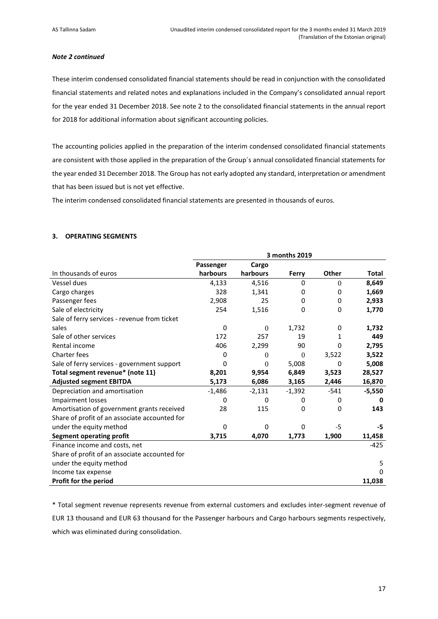#### *Note 2 continued*

These interim condensed consolidated financial statements should be read in conjunction with the consolidated financial statements and related notes and explanations included in the Company's consolidated annual report for the year ended 31 December 2018. See note 2 to the consolidated financial statements in the annual report for 2018 for additional information about significant accounting policies.

The accounting policies applied in the preparation of the interim condensed consolidated financial statements are consistent with those applied in the preparation of the Group´s annual consolidated financial statements for the year ended 31 December 2018. The Group has not early adopted any standard, interpretation or amendment that has been issued but is not yet effective.

The interim condensed consolidated financial statements are presented in thousands of euros.

#### <span id="page-16-0"></span>**3. OPERATING SEGMENTS**

|                                               |           |              | 3 months 2019 |              |              |
|-----------------------------------------------|-----------|--------------|---------------|--------------|--------------|
|                                               | Passenger | Cargo        |               |              |              |
| In thousands of euros                         | harbours  | harbours     | Ferry         | <b>Other</b> | <b>Total</b> |
| Vessel dues                                   | 4,133     | 4,516        | 0             | $\theta$     | 8,649        |
| Cargo charges                                 | 328       | 1,341        | 0             | 0            | 1,669        |
| Passenger fees                                | 2,908     | 25           | 0             | 0            | 2,933        |
| Sale of electricity                           | 254       | 1,516        | 0             | 0            | 1,770        |
| Sale of ferry services - revenue from ticket  |           |              |               |              |              |
| sales                                         | $\Omega$  | $\mathbf{0}$ | 1,732         | 0            | 1,732        |
| Sale of other services                        | 172       | 257          | 19            | 1            | 449          |
| Rental income                                 | 406       | 2,299        | 90            | 0            | 2,795        |
| Charter fees                                  | 0         | 0            | $\theta$      | 3,522        | 3,522        |
| Sale of ferry services - government support   | 0         | $\mathbf{0}$ | 5,008         | 0            | 5,008        |
| Total segment revenue* (note 11)              | 8,201     | 9,954        | 6,849         | 3,523        | 28,527       |
| <b>Adjusted segment EBITDA</b>                | 5,173     | 6,086        | 3,165         | 2,446        | 16,870       |
| Depreciation and amortisation                 | $-1,486$  | $-2,131$     | $-1,392$      | $-541$       | $-5,550$     |
| Impairment losses                             | 0         | 0            | 0             | 0            | 0            |
| Amortisation of government grants received    | 28        | 115          | 0             | 0            | 143          |
| Share of profit of an associate accounted for |           |              |               |              |              |
| under the equity method                       | $\Omega$  | 0            | 0             | $-5$         | -5           |
| <b>Segment operating profit</b>               | 3,715     | 4,070        | 1,773         | 1,900        | 11,458       |
| Finance income and costs, net                 |           |              |               |              | $-425$       |
| Share of profit of an associate accounted for |           |              |               |              |              |
| under the equity method                       |           |              |               |              | 5            |
| Income tax expense                            |           |              |               |              | 0            |
| Profit for the period                         |           |              |               |              | 11,038       |

\* Total segment revenue represents revenue from external customers and excludes inter-segment revenue of EUR 13 thousand and EUR 63 thousand for the Passenger harbours and Cargo harbours segments respectively, which was eliminated during consolidation.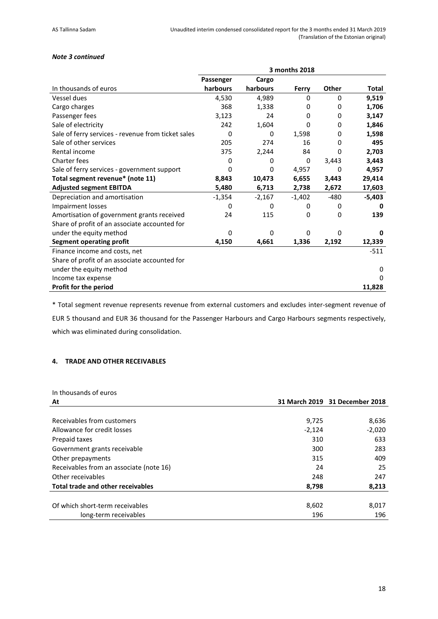# *Note 3 continued*

|                                                    |           |          | 3 months 2018 |          |              |
|----------------------------------------------------|-----------|----------|---------------|----------|--------------|
|                                                    | Passenger | Cargo    |               |          |              |
| In thousands of euros                              | harbours  | harbours | Ferry         | Other    | <b>Total</b> |
| Vessel dues                                        | 4,530     | 4,989    | 0             | 0        | 9,519        |
| Cargo charges                                      | 368       | 1,338    | 0             | 0        | 1,706        |
| Passenger fees                                     | 3,123     | 24       | 0             | 0        | 3,147        |
| Sale of electricity                                | 242       | 1,604    | 0             | 0        | 1,846        |
| Sale of ferry services - revenue from ticket sales | 0         | 0        | 1,598         | 0        | 1,598        |
| Sale of other services                             | 205       | 274      | 16            | 0        | 495          |
| Rental income                                      | 375       | 2,244    | 84            | 0        | 2,703        |
| <b>Charter fees</b>                                | 0         | 0        | 0             | 3,443    | 3,443        |
| Sale of ferry services - government support        | 0         | 0        | 4,957         | 0        | 4,957        |
| Total segment revenue* (note 11)                   | 8,843     | 10,473   | 6,655         | 3,443    | 29,414       |
| <b>Adjusted segment EBITDA</b>                     | 5,480     | 6,713    | 2,738         | 2,672    | 17,603       |
| Depreciation and amortisation                      | $-1,354$  | $-2,167$ | $-1,402$      | $-480$   | $-5,403$     |
| <b>Impairment losses</b>                           | 0         | 0        | 0             | 0        | 0            |
| Amortisation of government grants received         | 24        | 115      | 0             | 0        | 139          |
| Share of profit of an associate accounted for      |           |          |               |          |              |
| under the equity method                            | 0         | 0        | $\Omega$      | $\Omega$ | o            |
| <b>Segment operating profit</b>                    | 4,150     | 4,661    | 1,336         | 2,192    | 12,339       |
| Finance income and costs, net                      |           |          |               |          | $-511$       |
| Share of profit of an associate accounted for      |           |          |               |          |              |
| under the equity method                            |           |          |               |          | 0            |
| Income tax expense                                 |           |          |               |          | 0            |
| Profit for the period                              |           |          |               |          | 11,828       |

\* Total segment revenue represents revenue from external customers and excludes inter-segment revenue of EUR 5 thousand and EUR 36 thousand for the Passenger Harbours and Cargo Harbours segments respectively, which was eliminated during consolidation.

# <span id="page-17-0"></span>**4. TRADE AND OTHER RECEIVABLES**

# In thousands of euros

| At                                      |          | 31 March 2019 31 December 2018 |
|-----------------------------------------|----------|--------------------------------|
|                                         |          |                                |
| Receivables from customers              | 9,725    | 8,636                          |
| Allowance for credit losses             | $-2,124$ | $-2,020$                       |
| Prepaid taxes                           | 310      | 633                            |
| Government grants receivable            | 300      | 283                            |
| Other prepayments                       | 315      | 409                            |
| Receivables from an associate (note 16) | 24       | 25                             |
| Other receivables                       | 248      | 247                            |
| Total trade and other receivables       | 8,798    | 8,213                          |
|                                         |          |                                |
| Of which short-term receivables         | 8,602    | 8,017                          |
| long-term receivables                   | 196      | 196                            |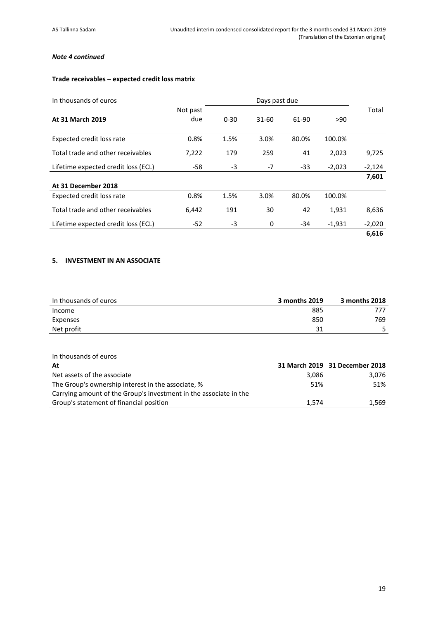# *Note 4 continued*

# **Trade receivables – expected credit loss matrix**

| In thousands of euros               |                 |          | Days past due |       |          |          |
|-------------------------------------|-----------------|----------|---------------|-------|----------|----------|
| At 31 March 2019                    | Not past<br>due | $0 - 30$ | 31-60         | 61-90 | >90      | Total    |
| Expected credit loss rate           | 0.8%            | 1.5%     | 3.0%          | 80.0% | 100.0%   |          |
| Total trade and other receivables   | 7,222           | 179      | 259           | 41    | 2,023    | 9,725    |
| Lifetime expected credit loss (ECL) | -58             | $-3$     | $-7$          | $-33$ | $-2,023$ | $-2,124$ |
|                                     |                 |          |               |       |          | 7,601    |
| At 31 December 2018                 |                 |          |               |       |          |          |
| Expected credit loss rate           | 0.8%            | 1.5%     | 3.0%          | 80.0% | 100.0%   |          |
| Total trade and other receivables   | 6,442           | 191      | 30            | 42    | 1,931    | 8,636    |
| Lifetime expected credit loss (ECL) | $-52$           | $-3$     | 0             | -34   | $-1,931$ | $-2,020$ |
|                                     |                 |          |               |       |          | 6,616    |

# <span id="page-18-0"></span>**5. INVESTMENT IN AN ASSOCIATE**

| In thousands of euros | 3 months 2019 | 3 months 2018 |
|-----------------------|---------------|---------------|
| Income                | 885           | 777           |
| Expenses              | 850           | 769           |
| Net profit            | 31            |               |

#### In thousands of euros

| At                                                                |       | 31 March 2019 31 December 2018 |
|-------------------------------------------------------------------|-------|--------------------------------|
| Net assets of the associate                                       | 3,086 | 3.076                          |
| The Group's ownership interest in the associate, %                | 51%   | 51%                            |
| Carrying amount of the Group's investment in the associate in the |       |                                |
| Group's statement of financial position                           | 1.574 | 1.569                          |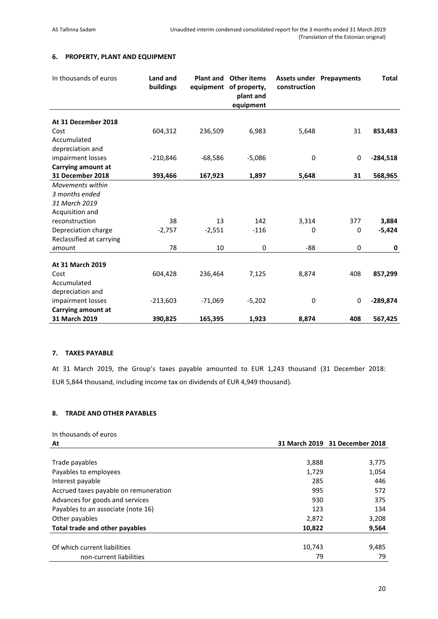# <span id="page-19-0"></span>**6. PROPERTY, PLANT AND EQUIPMENT**

| In thousands of euros    | Land and<br>buildings | <b>Plant and</b><br>equipment | <b>Other items</b><br>of property,<br>plant and<br>equipment | construction     | <b>Assets under Prepayments</b> | <b>Total</b> |
|--------------------------|-----------------------|-------------------------------|--------------------------------------------------------------|------------------|---------------------------------|--------------|
| At 31 December 2018      |                       |                               |                                                              |                  |                                 |              |
| Cost                     | 604,312               | 236,509                       | 6,983                                                        | 5,648            | 31                              | 853,483      |
| Accumulated              |                       |                               |                                                              |                  |                                 |              |
| depreciation and         |                       |                               |                                                              |                  |                                 |              |
| impairment losses        | $-210,846$            | $-68,586$                     | $-5,086$                                                     | $\pmb{0}$        | $\mathbf 0$                     | $-284,518$   |
| Carrying amount at       |                       |                               |                                                              |                  |                                 |              |
| 31 December 2018         | 393,466               | 167,923                       | 1,897                                                        | 5,648            | 31                              | 568,965      |
| Movements within         |                       |                               |                                                              |                  |                                 |              |
| 3 months ended           |                       |                               |                                                              |                  |                                 |              |
| 31 March 2019            |                       |                               |                                                              |                  |                                 |              |
| Acquisition and          |                       |                               |                                                              |                  |                                 |              |
| reconstruction           | 38                    | 13                            | 142                                                          | 3,314            | 377                             | 3,884        |
| Depreciation charge      | $-2,757$              | $-2,551$                      | $-116$                                                       | 0                | 0                               | $-5,424$     |
| Reclassified at carrying |                       |                               |                                                              |                  |                                 |              |
| amount                   | 78                    | 10                            | $\mathbf 0$                                                  | $-88$            | 0                               | 0            |
|                          |                       |                               |                                                              |                  |                                 |              |
| <b>At 31 March 2019</b>  |                       |                               |                                                              |                  |                                 |              |
| Cost                     | 604,428               | 236,464                       | 7,125                                                        | 8,874            | 408                             | 857,299      |
| Accumulated              |                       |                               |                                                              |                  |                                 |              |
| depreciation and         |                       |                               |                                                              |                  |                                 |              |
| impairment losses        | $-213,603$            | $-71,069$                     | $-5,202$                                                     | $\boldsymbol{0}$ | 0                               | $-289,874$   |
| Carrying amount at       |                       |                               |                                                              |                  |                                 |              |
| 31 March 2019            | 390,825               | 165,395                       | 1,923                                                        | 8,874            | 408                             | 567,425      |

# <span id="page-19-1"></span>**7. TAXES PAYABLE**

At 31 March 2019, the Group's taxes payable amounted to EUR 1,243 thousand (31 December 2018: EUR 5,844 thousand, including income tax on dividends of EUR 4,949 thousand).

# <span id="page-19-2"></span>**8. TRADE AND OTHER PAYABLES**

| At                                    |        | 31 March 2019 31 December 2018 |
|---------------------------------------|--------|--------------------------------|
|                                       |        |                                |
| Trade payables                        | 3,888  | 3,775                          |
| Payables to employees                 | 1,729  | 1,054                          |
| Interest payable                      | 285    | 446                            |
| Accrued taxes payable on remuneration | 995    | 572                            |
| Advances for goods and services       | 930    | 375                            |
| Payables to an associate (note 16)    | 123    | 134                            |
| Other payables                        | 2,872  | 3,208                          |
| Total trade and other payables        | 10,822 | 9,564                          |
|                                       |        |                                |
| Of which current liabilities          | 10,743 | 9,485                          |
| non-current liabilities               | 79     | 79                             |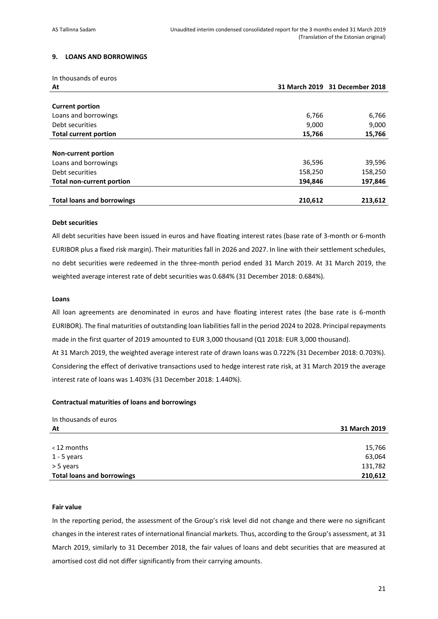# <span id="page-20-0"></span>**9. LOANS AND BORROWINGS**

| In thousands of euros             |         |                                |
|-----------------------------------|---------|--------------------------------|
| At                                |         | 31 March 2019 31 December 2018 |
|                                   |         |                                |
| <b>Current portion</b>            |         |                                |
| Loans and borrowings              | 6,766   | 6,766                          |
| Debt securities                   | 9,000   | 9,000                          |
| <b>Total current portion</b>      | 15,766  | 15,766                         |
|                                   |         |                                |
| <b>Non-current portion</b>        |         |                                |
| Loans and borrowings              | 36,596  | 39,596                         |
| Debt securities                   | 158,250 | 158,250                        |
| <b>Total non-current portion</b>  | 194,846 | 197,846                        |
|                                   |         |                                |
| <b>Total loans and borrowings</b> | 210,612 | 213,612                        |

#### **Debt securities**

All debt securities have been issued in euros and have floating interest rates (base rate of 3-month or 6-month EURIBOR plus a fixed risk margin). Their maturities fall in 2026 and 2027. In line with their settlement schedules, no debt securities were redeemed in the three-month period ended 31 March 2019. At 31 March 2019, the weighted average interest rate of debt securities was 0.684% (31 December 2018: 0.684%).

#### **Loans**

All loan agreements are denominated in euros and have floating interest rates (the base rate is 6-month EURIBOR). The final maturities of outstanding loan liabilities fall in the period 2024 to 2028. Principal repayments made in the first quarter of 2019 amounted to EUR 3,000 thousand (Q1 2018: EUR 3,000 thousand). At 31 March 2019, the weighted average interest rate of drawn loans was 0.722% (31 December 2018: 0.703%). Considering the effect of derivative transactions used to hedge interest rate risk, at 31 March 2019 the average interest rate of loans was 1.403% (31 December 2018: 1.440%).

#### **Contractual maturities of loans and borrowings**

| In thousands of euros             |               |
|-----------------------------------|---------------|
| At                                | 31 March 2019 |
|                                   |               |
| <12 months                        | 15,766        |
| $1 - 5$ years                     | 63,064        |
| > 5 years                         | 131,782       |
| <b>Total loans and borrowings</b> | 210,612       |

#### **Fair value**

In the reporting period, the assessment of the Group's risk level did not change and there were no significant changes in the interest rates of international financial markets. Thus, according to the Group's assessment, at 31 March 2019, similarly to 31 December 2018, the fair values of loans and debt securities that are measured at amortised cost did not differ significantly from their carrying amounts.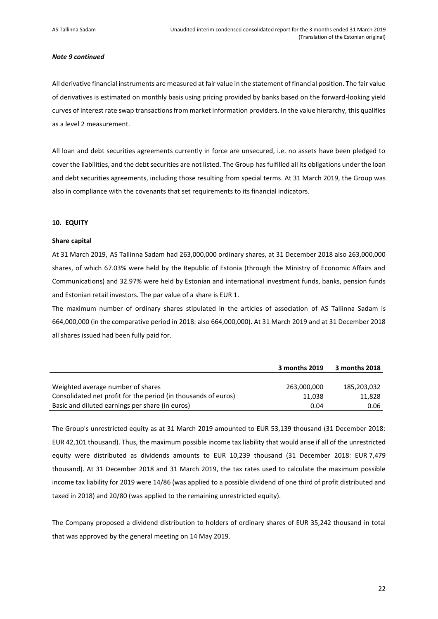#### *Note 9 continued*

All derivative financial instruments are measured at fair value in the statement of financial position. The fair value of derivatives is estimated on monthly basis using pricing provided by banks based on the forward-looking yield curves of interest rate swap transactions from market information providers. In the value hierarchy, this qualifies as a level 2 measurement.

All loan and debt securities agreements currently in force are unsecured, i.e. no assets have been pledged to cover the liabilities, and the debt securities are not listed. The Group has fulfilled all its obligations under the loan and debt securities agreements, including those resulting from special terms. At 31 March 2019, the Group was also in compliance with the covenants that set requirements to its financial indicators.

#### <span id="page-21-0"></span>**10. EQUITY**

#### **Share capital**

At 31 March 2019, AS Tallinna Sadam had 263,000,000 ordinary shares, at 31 December 2018 also 263,000,000 shares, of which 67.03% were held by the Republic of Estonia (through the Ministry of Economic Affairs and Communications) and 32.97% were held by Estonian and international investment funds, banks, pension funds and Estonian retail investors. The par value of a share is EUR 1.

The maximum number of ordinary shares stipulated in the articles of association of AS Tallinna Sadam is 664,000,000 (in the comparative period in 2018: also 664,000,000). At 31 March 2019 and at 31 December 2018 all shares issued had been fully paid for.

|                                                                | 3 months 2019 | 3 months 2018 |
|----------------------------------------------------------------|---------------|---------------|
|                                                                |               |               |
| Weighted average number of shares                              | 263,000,000   | 185,203,032   |
| Consolidated net profit for the period (in thousands of euros) | 11.038        | 11.828        |
| Basic and diluted earnings per share (in euros)                | 0.04          | 0.06          |

The Group's unrestricted equity as at 31 March 2019 amounted to EUR 53,139 thousand (31 December 2018: EUR 42,101 thousand). Thus, the maximum possible income tax liability that would arise if all of the unrestricted equity were distributed as dividends amounts to EUR 10,239 thousand (31 December 2018: EUR 7,479 thousand). At 31 December 2018 and 31 March 2019, the tax rates used to calculate the maximum possible income tax liability for 2019 were 14/86 (was applied to a possible dividend of one third of profit distributed and taxed in 2018) and 20/80 (was applied to the remaining unrestricted equity).

The Company proposed a dividend distribution to holders of ordinary shares of EUR 35,242 thousand in total that was approved by the general meeting on 14 May 2019.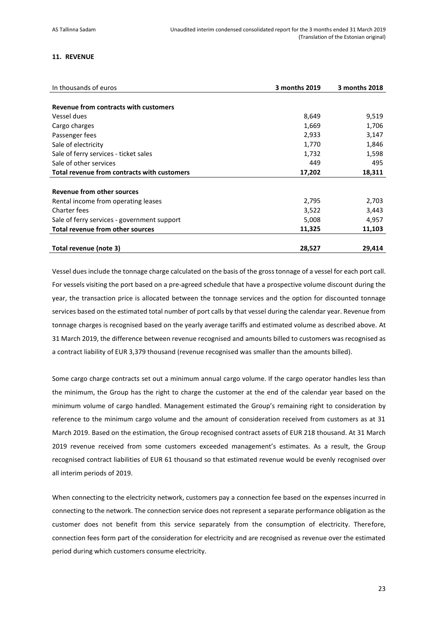#### <span id="page-22-0"></span>**11. REVENUE**

| In thousands of euros                       | 3 months 2019 | 3 months 2018 |
|---------------------------------------------|---------------|---------------|
|                                             |               |               |
| Revenue from contracts with customers       |               |               |
| Vessel dues                                 | 8,649         | 9,519         |
| Cargo charges                               | 1,669         | 1,706         |
| Passenger fees                              | 2,933         | 3,147         |
| Sale of electricity                         | 1,770         | 1,846         |
| Sale of ferry services - ticket sales       | 1,732         | 1,598         |
| Sale of other services                      | 449           | 495           |
| Total revenue from contracts with customers | 17,202        | 18,311        |
|                                             |               |               |
| Revenue from other sources                  |               |               |
| Rental income from operating leases         | 2,795         | 2,703         |
| <b>Charter fees</b>                         | 3,522         | 3,443         |
| Sale of ferry services - government support | 5,008         | 4,957         |
| <b>Total revenue from other sources</b>     | 11,325        | 11,103        |
| Total revenue (note 3)                      | 28,527        | 29,414        |

Vessel dues include the tonnage charge calculated on the basis of the gross tonnage of a vessel for each port call. For vessels visiting the port based on a pre-agreed schedule that have a prospective volume discount during the year, the transaction price is allocated between the tonnage services and the option for discounted tonnage services based on the estimated total number of port calls by that vessel during the calendar year. Revenue from tonnage charges is recognised based on the yearly average tariffs and estimated volume as described above. At 31 March 2019, the difference between revenue recognised and amounts billed to customers was recognised as a contract liability of EUR 3,379 thousand (revenue recognised was smaller than the amounts billed).

Some cargo charge contracts set out a minimum annual cargo volume. If the cargo operator handles less than the minimum, the Group has the right to charge the customer at the end of the calendar year based on the minimum volume of cargo handled. Management estimated the Group's remaining right to consideration by reference to the minimum cargo volume and the amount of consideration received from customers as at 31 March 2019. Based on the estimation, the Group recognised contract assets of EUR 218 thousand. At 31 March 2019 revenue received from some customers exceeded management's estimates. As a result, the Group recognised contract liabilities of EUR 61 thousand so that estimated revenue would be evenly recognised over all interim periods of 2019.

When connecting to the electricity network, customers pay a connection fee based on the expenses incurred in connecting to the network. The connection service does not represent a separate performance obligation as the customer does not benefit from this service separately from the consumption of electricity. Therefore, connection fees form part of the consideration for electricity and are recognised as revenue over the estimated period during which customers consume electricity.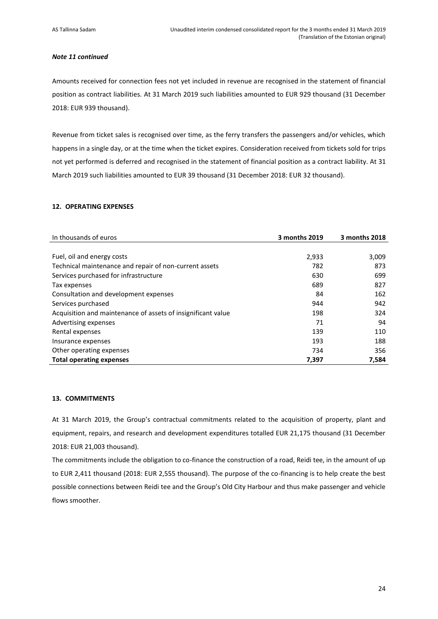#### *Note 11 continued*

Amounts received for connection fees not yet included in revenue are recognised in the statement of financial position as contract liabilities. At 31 March 2019 such liabilities amounted to EUR 929 thousand (31 December 2018: EUR 939 thousand).

Revenue from ticket sales is recognised over time, as the ferry transfers the passengers and/or vehicles, which happens in a single day, or at the time when the ticket expires. Consideration received from tickets sold for trips not yet performed is deferred and recognised in the statement of financial position as a contract liability. At 31 March 2019 such liabilities amounted to EUR 39 thousand (31 December 2018: EUR 32 thousand).

# <span id="page-23-0"></span>**12. OPERATING EXPENSES**

| In thousands of euros                                        | 3 months 2019 | 3 months 2018 |
|--------------------------------------------------------------|---------------|---------------|
|                                                              |               |               |
| Fuel, oil and energy costs                                   | 2,933         | 3,009         |
| Technical maintenance and repair of non-current assets       | 782           | 873           |
| Services purchased for infrastructure                        | 630           | 699           |
| Tax expenses                                                 | 689           | 827           |
| Consultation and development expenses                        | 84            | 162           |
| Services purchased                                           | 944           | 942           |
| Acquisition and maintenance of assets of insignificant value | 198           | 324           |
| Advertising expenses                                         | 71            | 94            |
| Rental expenses                                              | 139           | 110           |
| Insurance expenses                                           | 193           | 188           |
| Other operating expenses                                     | 734           | 356           |
| <b>Total operating expenses</b>                              | 7,397         | 7,584         |

#### <span id="page-23-1"></span>**13. COMMITMENTS**

At 31 March 2019, the Group's contractual commitments related to the acquisition of property, plant and equipment, repairs, and research and development expenditures totalled EUR 21,175 thousand (31 December 2018: EUR 21,003 thousand).

The commitments include the obligation to co-finance the construction of a road, Reidi tee, in the amount of up to EUR 2,411 thousand (2018: EUR 2,555 thousand). The purpose of the co-financing is to help create the best possible connections between Reidi tee and the Group's Old City Harbour and thus make passenger and vehicle flows smoother.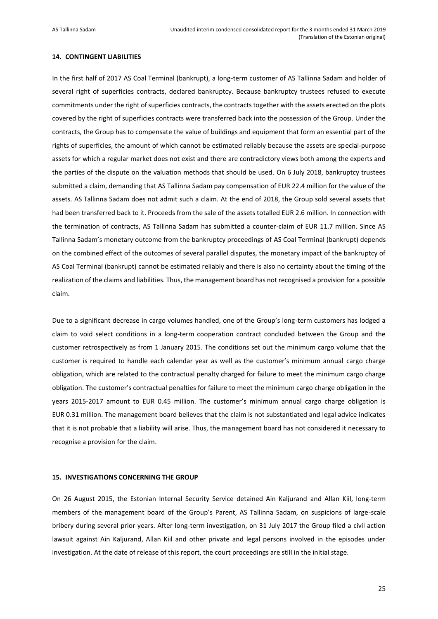#### <span id="page-24-0"></span>**14. CONTINGENT LIABILITIES**

In the first half of 2017 AS Coal Terminal (bankrupt), a long-term customer of AS Tallinna Sadam and holder of several right of superficies contracts, declared bankruptcy. Because bankruptcy trustees refused to execute commitments under the right of superficies contracts, the contracts together with the assets erected on the plots covered by the right of superficies contracts were transferred back into the possession of the Group. Under the contracts, the Group has to compensate the value of buildings and equipment that form an essential part of the rights of superficies, the amount of which cannot be estimated reliably because the assets are special-purpose assets for which a regular market does not exist and there are contradictory views both among the experts and the parties of the dispute on the valuation methods that should be used. On 6 July 2018, bankruptcy trustees submitted a claim, demanding that AS Tallinna Sadam pay compensation of EUR 22.4 million for the value of the assets. AS Tallinna Sadam does not admit such a claim. At the end of 2018, the Group sold several assets that had been transferred back to it. Proceeds from the sale of the assets totalled EUR 2.6 million. In connection with the termination of contracts, AS Tallinna Sadam has submitted a counter-claim of EUR 11.7 million. Since AS Tallinna Sadam's monetary outcome from the bankruptcy proceedings of AS Coal Terminal (bankrupt) depends on the combined effect of the outcomes of several parallel disputes, the monetary impact of the bankruptcy of AS Coal Terminal (bankrupt) cannot be estimated reliably and there is also no certainty about the timing of the realization of the claims and liabilities. Thus, the management board has not recognised a provision for a possible claim.

Due to a significant decrease in cargo volumes handled, one of the Group's long-term customers has lodged a claim to void select conditions in a long-term cooperation contract concluded between the Group and the customer retrospectively as from 1 January 2015. The conditions set out the minimum cargo volume that the customer is required to handle each calendar year as well as the customer's minimum annual cargo charge obligation, which are related to the contractual penalty charged for failure to meet the minimum cargo charge obligation. The customer's contractual penalties for failure to meet the minimum cargo charge obligation in the years 2015-2017 amount to EUR 0.45 million. The customer's minimum annual cargo charge obligation is EUR 0.31 million. The management board believes that the claim is not substantiated and legal advice indicates that it is not probable that a liability will arise. Thus, the management board has not considered it necessary to recognise a provision for the claim.

# <span id="page-24-1"></span>**15. INVESTIGATIONS CONCERNING THE GROUP**

On 26 August 2015, the Estonian Internal Security Service detained Ain Kaljurand and Allan Kiil, long-term members of the management board of the Group's Parent, AS Tallinna Sadam, on suspicions of large-scale bribery during several prior years. After long-term investigation, on 31 July 2017 the Group filed a civil action lawsuit against Ain Kaljurand, Allan Kiil and other private and legal persons involved in the episodes under investigation. At the date of release of this report, the court proceedings are still in the initial stage.